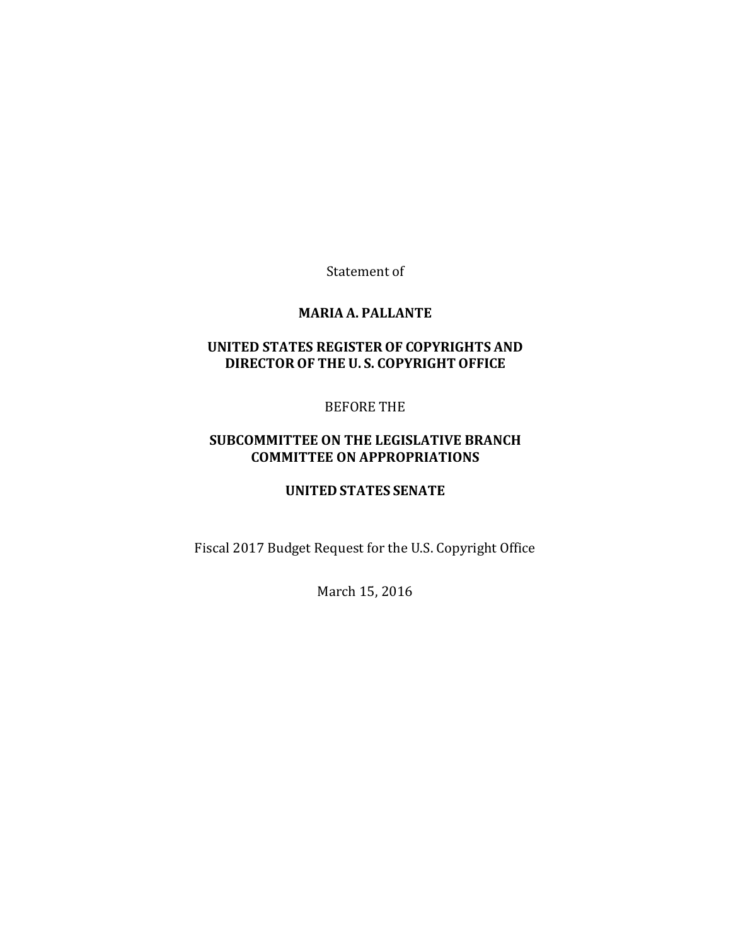Statement of

#### **MARIA A. PALLANTE**

## **UNITED STATES REGISTEROF COPYRIGHTS AND DIRECTOR OF THE U. S. COPYRIGHT OFFICE**

## BEFORE THE

## **SUBCOMMITTEE ON THE LEGISLATIVE BRANCH COMMITTEE ON APPROPRIATIONS**

#### **UNITED STATES SENATE**

Fiscal 2017 Budget Request for the U.S. Copyright Office

March 15, 2016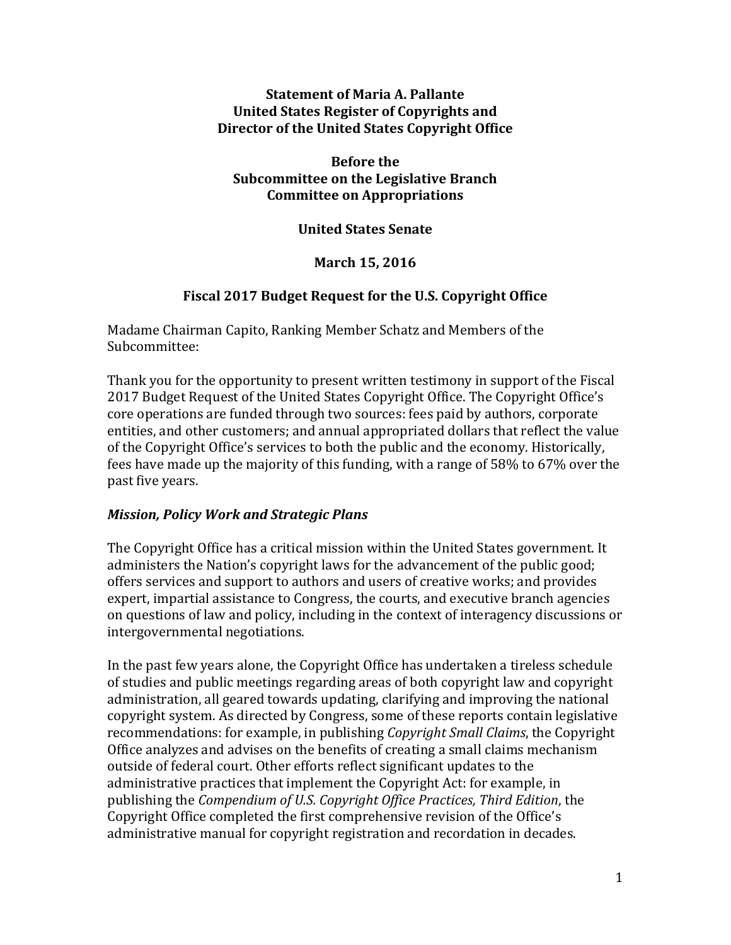## **Statement of Maria A. Pallante United States Register of Copyrights and Director of the United States Copyright Office**

**Before the Subcommittee on the Legislative Branch Committee on Appropriations** 

**United States Senate**

**March 15, 2016**

# **Fiscal 2017 Budget Request for the U.S. Copyright Office**

Madame Chairman Capito, Ranking Member Schatz and Members of the Subcommittee:

Thank you for the opportunity to present written testimony in support of the Fiscal 2017 Budget Request of the United States Copyright Office. The Copyright Office's core operations are funded through two sources: fees paid by authors, corporate entities, and other customers; and annual appropriated dollars that reflect the value of the Copyright Office's services to both the public and the economy. Historically, fees have made up the majority of this funding, with a range of 58% to 67% over the past five years.

## *Mission, Policy Work and Strategic Plans*

The Copyright Office has a critical mission within the United States government. It administers the Nation's copyright laws for the advancement of the public good; offers services and support to authors and users of creative works; and provides expert, impartial assistance to Congress, the courts, and executive branch agencies on questions of law and policy, including in the context of interagency discussions or intergovernmental negotiations.

In the past few years alone, the Copyright Office has undertaken a tireless schedule of studies and public meetings regarding areas of both copyright law and copyright administration, all geared towards updating, clarifying and improving the national copyright system. As directed by Congress, some of these reports contain legislative recommendations: for example, in publishing *Copyright Small Claims*, the Copyright Office analyzes and advises on the benefits of creating a small claims mechanism outside of federal court. Other efforts reflect significant updates to the administrative practices that implement the Copyright Act: for example, in publishing the *Compendium of U.S. Copyright Office Practices, Third Edition*, the Copyright Office completed the first comprehensive revision of the Office's administrative manual for copyright registration and recordation in decades.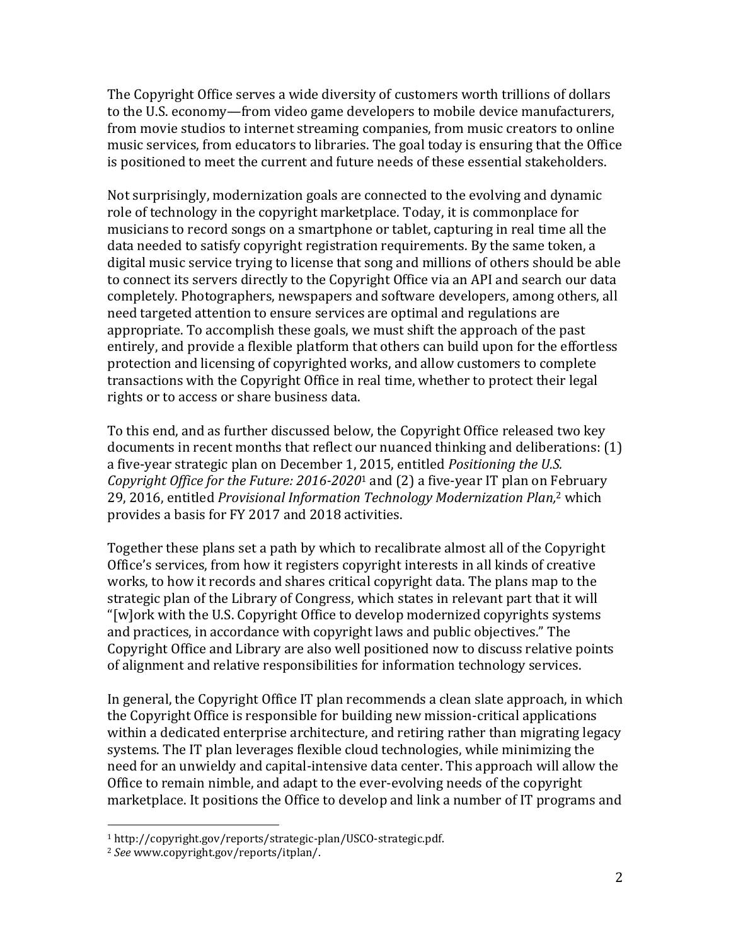The Copyright Office serves a wide diversity of customers worth trillions of dollars to the U.S. economy—from video game developers to mobile device manufacturers, from movie studios to internet streaming companies, from music creators to online music services, from educators to libraries. The goal today is ensuring that the Office is positioned to meet the current and future needs of these essential stakeholders.

Not surprisingly, modernization goals are connected to the evolving and dynamic role of technology in the copyright marketplace. Today, it is commonplace for musicians to record songs on a smartphone or tablet, capturing in real time all the data needed to satisfy copyright registration requirements. By the same token, a digital music service trying to license that song and millions of others should be able to connect its servers directly to the Copyright Office via an API and search our data completely. Photographers, newspapers and software developers, among others, all need targeted attention to ensure services are optimal and regulations are appropriate. To accomplish these goals, we must shift the approach of the past entirely, and provide a flexible platform that others can build upon for the effortless protection and licensing of copyrighted works, and allow customers to complete transactions with the Copyright Office in real time, whether to protect their legal rights or to access or share business data.

To this end, and as further discussed below, the Copyright Office released two key documents in recent months that reflect our nuanced thinking and deliberations: (1) a five-year strategic plan on December 1, 2015, entitled *Positioning the U.S. Copyright Office for the Future: 2016-2020*<sup>1</sup> and (2) a five-year IT plan on February 29, 2016, entitled *Provisional Information Technology Modernization Plan,*<sup>2</sup> which provides a basis for FY 2017 and 2018 activities.

Together these plans set a path by which to recalibrate almost all of the Copyright Office's services, from how it registers copyright interests in all kinds of creative works, to how it records and shares critical copyright data. The plans map to the strategic plan of the Library of Congress, which states in relevant part that it will "[w]ork with the U.S. Copyright Office to develop modernized copyrights systems and practices, in accordance with copyright laws and public objectives." The Copyright Office and Library are also well positioned now to discuss relative points of alignment and relative responsibilities for information technology services.

In general, the Copyright Office IT plan recommends a clean slate approach, in which the Copyright Office is responsible for building new mission-critical applications within a dedicated enterprise architecture, and retiring rather than migrating legacy systems. The IT plan leverages flexible cloud technologies, while minimizing the need for an unwieldy and capital-intensive data center. This approach will allow the Office to remain nimble, and adapt to the ever-evolving needs of the copyright marketplace. It positions the Office to develop and link a number of IT programs and

 $\overline{a}$ 

<sup>1</sup> http://copyright.gov/reports/strategic-plan/USCO-strategic.pdf.

<sup>2</sup> *See* www.copyright.gov/reports/itplan/.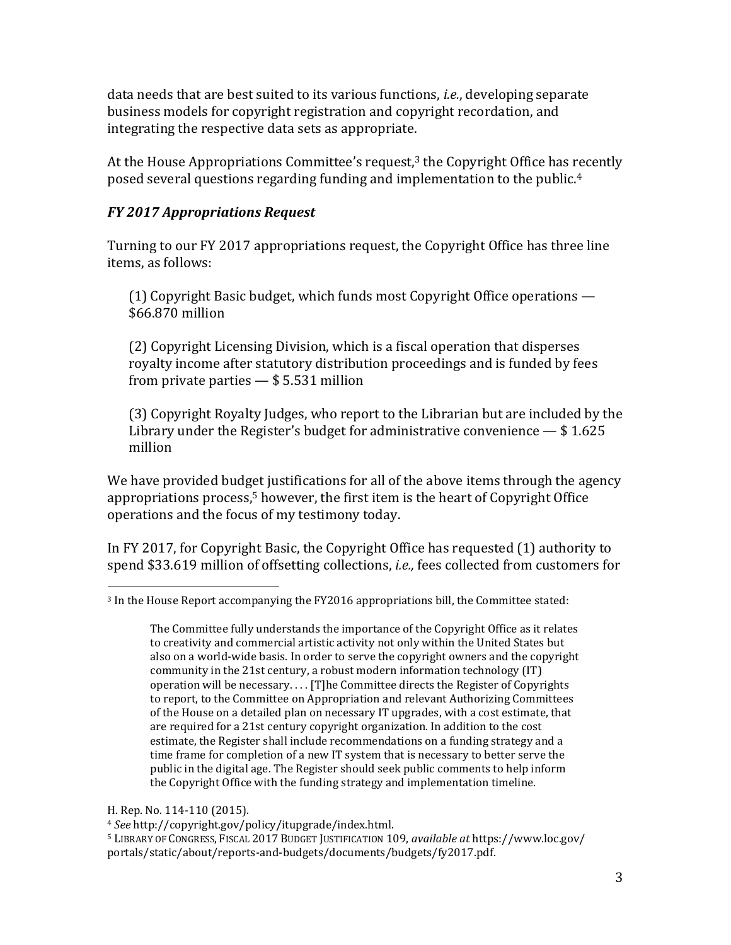data needs that are best suited to its various functions, *i.e.*, developing separate business models for copyright registration and copyright recordation, and integrating the respective data sets as appropriate.

At the House Appropriations Committee's request, $3$  the Copyright Office has recently posed several questions regarding funding and implementation to the public.<sup>4</sup>

# *FY 2017 Appropriations Request*

Turning to our FY 2017 appropriations request, the Copyright Office has three line items, as follows:

(1) Copyright Basic budget, which funds most Copyright Office operations — \$66.870 million

(2) Copyright Licensing Division, which is a fiscal operation that disperses royalty income after statutory distribution proceedings and is funded by fees from private parties — \$ 5.531 million

(3) Copyright Royalty Judges, who report to the Librarian but are included by the Library under the Register's budget for administrative convenience — \$ 1.625 million

We have provided budget justifications for all of the above items through the agency appropriations process, <sup>5</sup> however, the first item is the heart of Copyright Office operations and the focus of my testimony today.

In FY 2017, for Copyright Basic, the Copyright Office has requested (1) authority to spend \$33.619 million of offsetting collections, *i.e.,* fees collected from customers for

H. Rep. No. 114-110 (2015).

<sup>4</sup> *See* http://copyright.gov/policy/itupgrade/index.html.

 $\overline{a}$ <sup>3</sup> In the House Report accompanying the FY2016 appropriations bill, the Committee stated:

The Committee fully understands the importance of the Copyright Office as it relates to creativity and commercial artistic activity not only within the United States but also on a world-wide basis. In order to serve the copyright owners and the copyright community in the 21st century, a robust modern information technology (IT) operation will be necessary. . . . [T]he Committee directs the Register of Copyrights to report, to the Committee on Appropriation and relevant Authorizing Committees of the House on a detailed plan on necessary IT upgrades, with a cost estimate, that are required for a 21st century copyright organization. In addition to the cost estimate, the Register shall include recommendations on a funding strategy and a time frame for completion of a new IT system that is necessary to better serve the public in the digital age. The Register should seek public comments to help inform the Copyright Office with the funding strategy and implementation timeline.

<sup>5</sup> LIBRARY OF CONGRESS, FISCAL 2017 BUDGET JUSTIFICATION 109, *available at* https://www.loc.gov/ portals/static/about/reports-and-budgets/documents/budgets/fy2017.pdf.